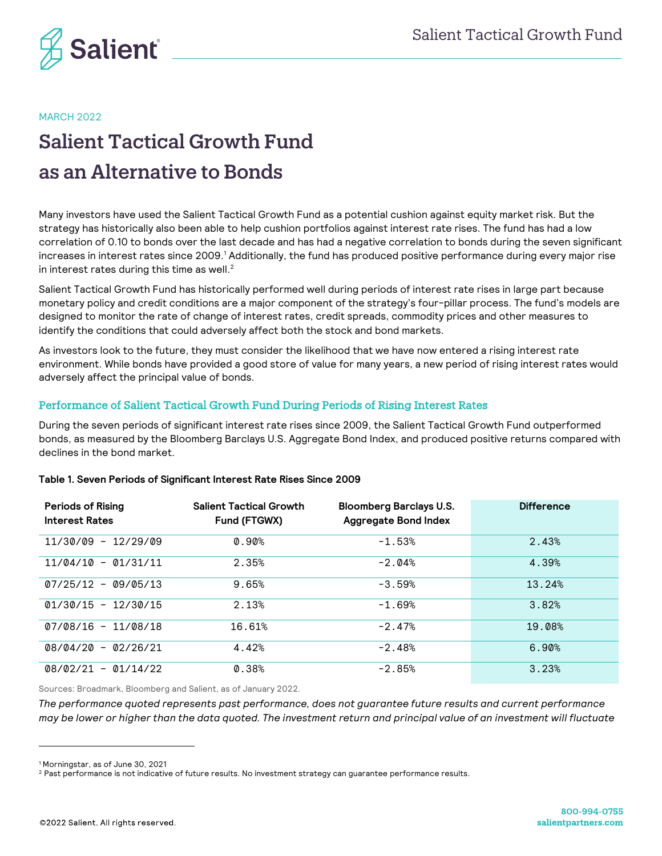

MARCH 2022

# Salient Tactical Growth Fund as an Alternative to Bonds

Many investors have used the Salient Tactical Growth Fund as a potential cushion against equity market risk. But the strategy has historically also been able to help cushion portfolios against interest rate rises. The fund has had a low correlation of 0.10 to bonds over the last decade and has had a negative correlation to bonds during the seven significant increases in interest rates since 2009.<sup>1</sup> Additionally, the fund has produced positive performance during every major rise in interest rates during this time as well. $2$ 

Salient Tactical Growth Fund has historically performed well during periods of interest rate rises in large part because monetary policy and credit conditions are a major component of the strategy's four-pillar process. The fund's models are designed to monitor the rate of change of interest rates, credit spreads, commodity prices and other measures to identify the conditions that could adversely affect both the stock and bond markets.

As investors look to the future, they must consider the likelihood that we have now entered a rising interest rate environment. While bonds have provided a good store of value for many years, a new period of rising interest rates would adversely affect the principal value of bonds.

## Performance of Salient Tactical Growth Fund During Periods of Rising Interest Rates

During the seven periods of significant interest rate rises since 2009, the Salient Tactical Growth Fund outperformed bonds, as measured by the Bloomberg Barclays U.S. Aggregate Bond Index, and produced positive returns compared with declines in the bond market.

| <b>Periods of Rising</b><br><b>Interest Rates</b> | <b>Salient Tactical Growth</b><br>Fund (FTGWX) | <b>Bloomberg Barclays U.S.</b><br><b>Aggregate Bond Index</b> | <b>Difference</b> |
|---------------------------------------------------|------------------------------------------------|---------------------------------------------------------------|-------------------|
| $11/30/09 - 12/29/09$                             | 0.90%                                          | $-1.53%$                                                      | 2.43%             |
| $11/04/10 - 01/31/11$                             | 2.35%                                          | $-2.04%$                                                      | 4.39%             |
| $07/25/12 - 09/05/13$                             | 9.65%                                          | $-3.59%$                                                      | 13.24%            |
| $01/30/15 - 12/30/15$                             | 2.13%                                          | $-1.69%$                                                      | 3.82%             |
| $07/08/16 - 11/08/18$                             | 16.61%                                         | $-2.47%$                                                      | 19.08%            |
| $08/04/20 - 02/26/21$                             | 4.42%                                          | $-2.48%$                                                      | 6.90%             |
| $08/02/21 -$<br>01/14/22                          | 0.38%                                          | $-2.85%$                                                      | 3.23%             |

#### **Table 1. Seven Periods of Significant Interest Rate Rises Since 2009**

Sources: Broadmark, Bloomberg and Salient, as of January 2022.

*The performance quoted represents past performance, does not guarantee future results and current performance may be lower or higher than the data quoted. The investment return and principal value of an investment will fluctuate* 

<sup>1</sup> Morningstar, as of June 30, 2021

<sup>&</sup>lt;sup>2</sup> Past performance is not indicative of future results. No investment strategy can guarantee performance results.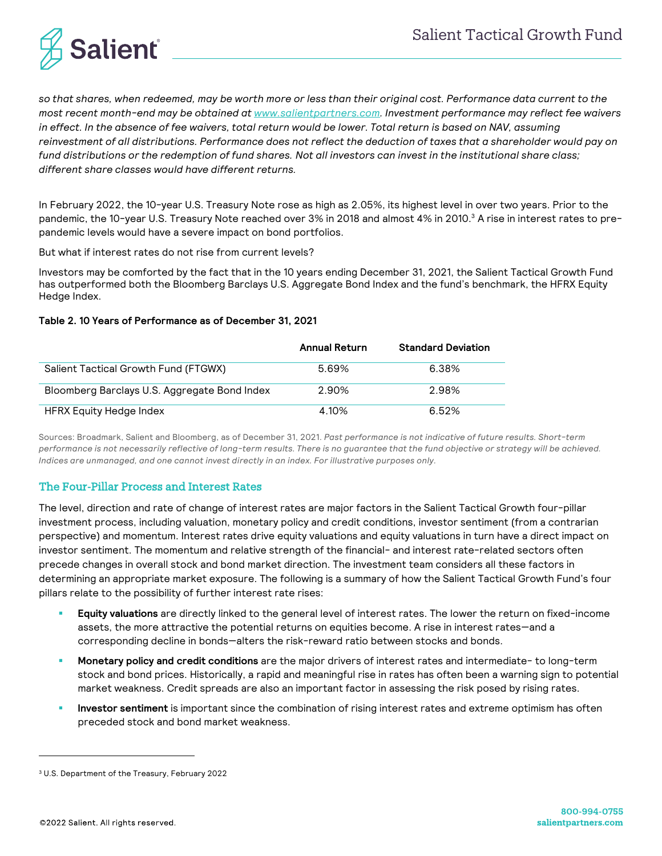

*so that shares, when redeemed, may be worth more or less than their original cost. Performance data current to the most recent month-end may be obtained at www.salientpartners.com. Investment performance may reflect fee waivers in effect. In the absence of fee waivers, total return would be lower. Total return is based on NAV, assuming reinvestment of all distributions. Performance does not reflect the deduction of taxes that a shareholder would pay on fund distributions or the redemption of fund shares. Not all investors can invest in the institutional share class; different share classes would have different returns.*

In February 2022, the 10-year U.S. Treasury Note rose as high as 2.05%, its highest level in over two years. Prior to the pandemic, the 10-year U.S. Treasury Note reached over 3% in 2018 and almost 4% in 2010.<sup>3</sup> A rise in interest rates to prepandemic levels would have a severe impact on bond portfolios.

But what if interest rates do not rise from current levels?

Investors may be comforted by the fact that in the 10 years ending December 31, 2021, the Salient Tactical Growth Fund has outperformed both the Bloomberg Barclays U.S. Aggregate Bond Index and the fund's benchmark, the HFRX Equity Hedge Index.

#### **Table 2. 10 Years of Performance as of December 31, 2021**

|                                              | <b>Annual Return</b> | <b>Standard Deviation</b> |
|----------------------------------------------|----------------------|---------------------------|
| Salient Tactical Growth Fund (FTGWX)         | 5.69%                | 6.38%                     |
| Bloomberg Barclays U.S. Aggregate Bond Index | 2.90%                | 2.98%                     |
| HFRX Equity Hedge Index                      | 4.10%                | 6.52%                     |

Sources: Broadmark, Salient and Bloomberg, as of December 31, 2021. *Past performance is not indicative of future results. Short-term performance is not necessarily reflective of long-term results. There is no guarantee that the fund objective or strategy will be achieved. Indices are unmanaged, and one cannot invest directly in an index. For illustrative purposes only.*

## The Four-Pillar Process and Interest Rates

The level, direction and rate of change of interest rates are major factors in the Salient Tactical Growth four-pillar investment process, including valuation, monetary policy and credit conditions, investor sentiment (from a contrarian perspective) and momentum. Interest rates drive equity valuations and equity valuations in turn have a direct impact on investor sentiment. The momentum and relative strength of the financial- and interest rate-related sectors often precede changes in overall stock and bond market direction. The investment team considers all these factors in determining an appropriate market exposure. The following is a summary of how the Salient Tactical Growth Fund's four pillars relate to the possibility of further interest rate rises:

- § **Equity valuations** are directly linked to the general level of interest rates. The lower the return on fixed-income assets, the more attractive the potential returns on equities become. A rise in interest rates—and a corresponding decline in bonds—alters the risk-reward ratio between stocks and bonds.
- § **Monetary policy and credit conditions** are the major drivers of interest rates and intermediate- to long-term stock and bond prices. Historically, a rapid and meaningful rise in rates has often been a warning sign to potential market weakness. Credit spreads are also an important factor in assessing the risk posed by rising rates.
- Investor sentiment is important since the combination of rising interest rates and extreme optimism has often preceded stock and bond market weakness.

<sup>3</sup> U.S. Department of the Treasury, February 2022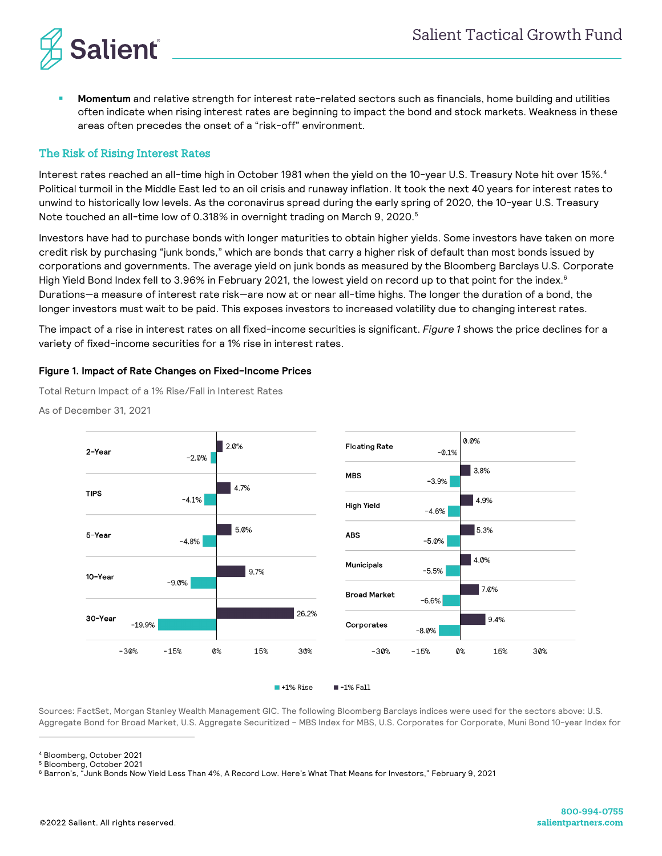

§ **Momentum** and relative strength for interest rate-related sectors such as financials, home building and utilities often indicate when rising interest rates are beginning to impact the bond and stock markets. Weakness in these areas often precedes the onset of a "risk-off" environment.

### The Risk of Rising Interest Rates

Interest rates reached an all-time high in October 1981 when the yield on the 10-year U.S. Treasury Note hit over 15%.<sup>4</sup> Political turmoil in the Middle East led to an oil crisis and runaway inflation. It took the next 40 years for interest rates to unwind to historically low levels. As the coronavirus spread during the early spring of 2020, the 10-year U.S. Treasury Note touched an all-time low of 0.318% in overnight trading on March 9, 2020.<sup>5</sup>

Investors have had to purchase bonds with longer maturities to obtain higher yields. Some investors have taken on more credit risk by purchasing "junk bonds," which are bonds that carry a higher risk of default than most bonds issued by corporations and governments. The average yield on junk bonds as measured by the Bloomberg Barclays U.S. Corporate High Yield Bond Index fell to 3.96% in February 2021, the lowest yield on record up to that point for the index.<sup>6</sup> Durations—a measure of interest rate risk—are now at or near all-time highs. The longer the duration of a bond, the longer investors must wait to be paid. This exposes investors to increased volatility due to changing interest rates.

The impact of a rise in interest rates on all fixed-income securities is significant. *Figure 1* shows the price declines for a variety of fixed-income securities for a 1% rise in interest rates.

#### **Figure 1. Impact of Rate Changes on Fixed-Income Prices**

Total Return Impact of a 1% Rise/Fall in Interest Rates

As of December 31, 2021



 $\blacksquare$  +1% Rise  $-1%$  Fall

Sources: FactSet, Morgan Stanley Wealth Management GIC. The following Bloomberg Barclays indices were used for the sectors above: U.S. Aggregate Bond for Broad Market, U.S. Aggregate Securitized – MBS Index for MBS, U.S. Corporates for Corporate, Muni Bond 10-year Index for

<sup>4</sup> Bloomberg, October 2021 <sup>5</sup> Bloomberg, October 2021

<sup>6</sup> Barron's, "Junk Bonds Now Yield Less Than 4%, A Record Low. Here's What That Means for Investors," February 9, 2021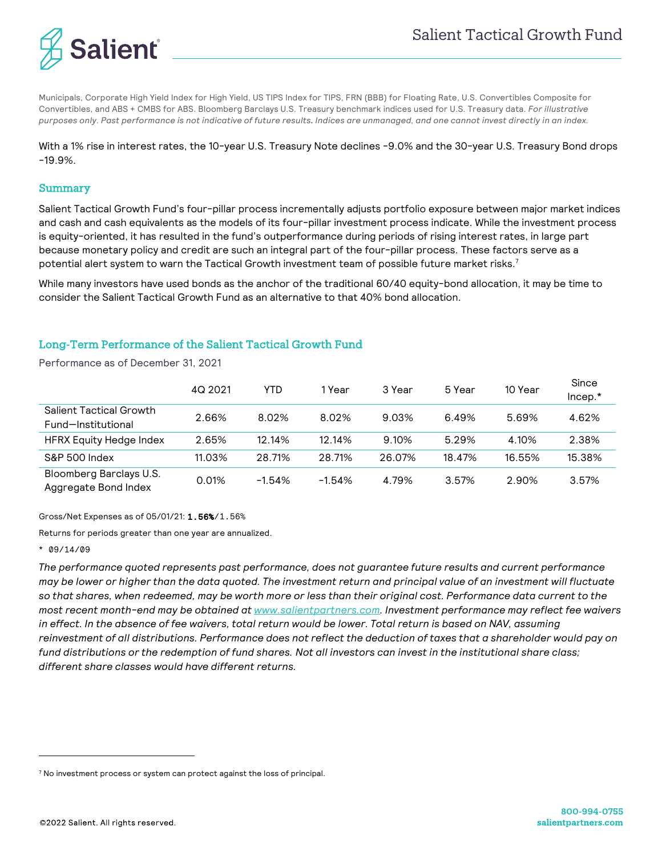

Municipals, Corporate High Yield Index for High Yield, US TIPS Index for TIPS, FRN (BBB) for Floating Rate, U.S. Convertibles Composite for Convertibles, and ABS + CMBS for ABS. Bloomberg Barclays U.S. Treasury benchmark indices used for U.S. Treasury data. *For illustrative purposes only. Past performance is not indicative of future results. Indices are unmanaged, and one cannot invest directly in an index.*

With a 1% rise in interest rates, the 10-year U.S. Treasury Note declines -9.0% and the 30-year U.S. Treasury Bond drops -19.9%.

#### Summary

Salient Tactical Growth Fund's four-pillar process incrementally adjusts portfolio exposure between major market indices and cash and cash equivalents as the models of its four-pillar investment process indicate. While the investment process is equity-oriented, it has resulted in the fund's outperformance during periods of rising interest rates, in large part because monetary policy and credit are such an integral part of the four-pillar process. These factors serve as a potential alert system to warn the Tactical Growth investment team of possible future market risks.<sup>7</sup>

While many investors have used bonds as the anchor of the traditional 60/40 equity-bond allocation, it may be time to consider the Salient Tactical Growth Fund as an alternative to that 40% bond allocation.

### Long-Term Performance of the Salient Tactical Growth Fund

Performance as of December 31, 2021

|                                                 | 4Q 2021 | YTD      | 1 Year   | 3 Year | 5 Year | 10 Year | Since<br>$Incep.*$ |
|-------------------------------------------------|---------|----------|----------|--------|--------|---------|--------------------|
| Salient Tactical Growth<br>Fund-Institutional   | 2.66%   | 8.02%    | 8.02%    | 9.03%  | 6.49%  | 5.69%   | 4.62%              |
| <b>HFRX Equity Hedge Index</b>                  | 2.65%   | 12.14%   | 12.14%   | 9.10%  | 5.29%  | 4.10%   | 2.38%              |
| S&P 500 Index                                   | 11.03%  | 28.71%   | 28.71%   | 26.07% | 18.47% | 16.55%  | 15.38%             |
| Bloomberg Barclays U.S.<br>Aggregate Bond Index | 0.01%   | $-1.54%$ | $-1.54%$ | 4.79%  | 3.57%  | 2.90%   | 3.57%              |

Gross/Net Expenses as of 05/01/21: 1.56%/1.56%

Returns for periods greater than one year are annualized.

#### \* 09/14/09

*The performance quoted represents past performance, does not guarantee future results and current performance may be lower or higher than the data quoted. The investment return and principal value of an investment will fluctuate so that shares, when redeemed, may be worth more or less than their original cost. Performance data current to the most recent month-end may be obtained at www.salientpartners.com. Investment performance may reflect fee waivers in effect. In the absence of fee waivers, total return would be lower. Total return is based on NAV, assuming reinvestment of all distributions. Performance does not reflect the deduction of taxes that a shareholder would pay on fund distributions or the redemption of fund shares. Not all investors can invest in the institutional share class; different share classes would have different returns.*

<sup>&</sup>lt;sup>7</sup> No investment process or system can protect against the loss of principal.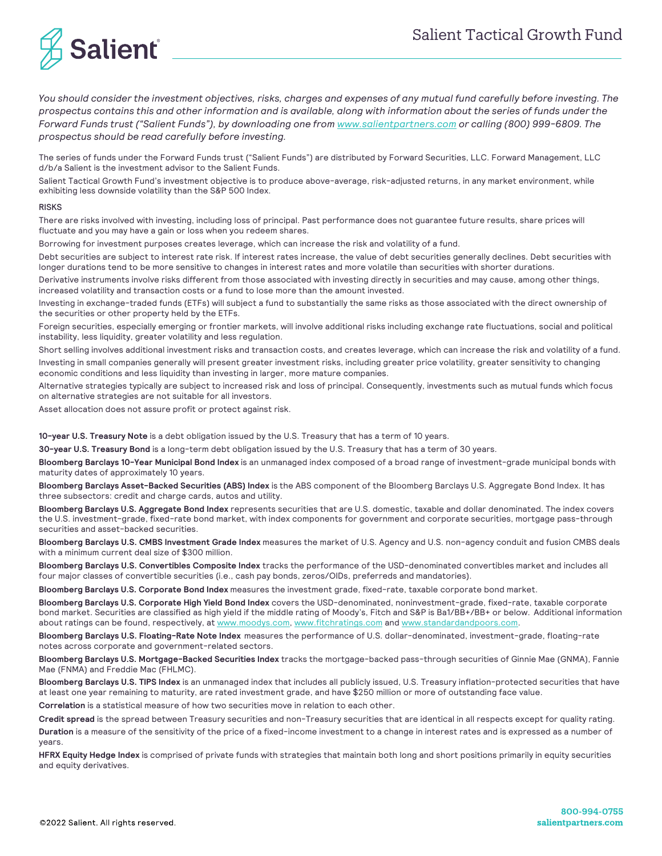

*You should consider the investment objectives, risks, charges and expenses of any mutual fund carefully before investing. The prospectus contains this and other information and is available, along with information about the series of funds under the Forward Funds trust ("Salient Funds"), by downloading one from www.salientpartners.com or calling (800) 999-6809. The prospectus should be read carefully before investing.*

The series of funds under the Forward Funds trust ("Salient Funds") are distributed by Forward Securities, LLC. Forward Management, LLC d/b/a Salient is the investment advisor to the Salient Funds.

Salient Tactical Growth Fund's investment objective is to produce above-average, risk-adjusted returns, in any market environment, while exhibiting less downside volatility than the S&P 500 Index.

#### RISKS

There are risks involved with investing, including loss of principal. Past performance does not guarantee future results, share prices will fluctuate and you may have a gain or loss when you redeem shares.

Borrowing for investment purposes creates leverage, which can increase the risk and volatility of a fund.

Debt securities are subject to interest rate risk. If interest rates increase, the value of debt securities generally declines. Debt securities with longer durations tend to be more sensitive to changes in interest rates and more volatile than securities with shorter durations.

Derivative instruments involve risks different from those associated with investing directly in securities and may cause, among other things, increased volatility and transaction costs or a fund to lose more than the amount invested.

Investing in exchange-traded funds (ETFs) will subject a fund to substantially the same risks as those associated with the direct ownership of the securities or other property held by the ETFs.

Foreign securities, especially emerging or frontier markets, will involve additional risks including exchange rate fluctuations, social and political instability, less liquidity, greater volatility and less regulation.

Short selling involves additional investment risks and transaction costs, and creates leverage, which can increase the risk and volatility of a fund. Investing in small companies generally will present greater investment risks, including greater price volatility, greater sensitivity to changing economic conditions and less liquidity than investing in larger, more mature companies.

Alternative strategies typically are subject to increased risk and loss of principal. Consequently, investments such as mutual funds which focus on alternative strategies are not suitable for all investors.

Asset allocation does not assure profit or protect against risk.

**10-year U.S. Treasury Note** is a debt obligation issued by the U.S. Treasury that has a term of 10 years.

**30-year U.S. Treasury Bond** is a long-term debt obligation issued by the U.S. Treasury that has a term of 30 years.

**Bloomberg Barclays 10-Year Municipal Bond Index** is an unmanaged index composed of a broad range of investment-grade municipal bonds with maturity dates of approximately 10 years.

**Bloomberg Barclays Asset-Backed Securities (ABS) Index** is the ABS component of the Bloomberg Barclays U.S. Aggregate Bond Index. It has three subsectors: credit and charge cards, autos and utility.

**Bloomberg Barclays U.S. Aggregate Bond Index** represents securities that are U.S. domestic, taxable and dollar denominated. The index covers the U.S. investment-grade, fixed-rate bond market, with index components for government and corporate securities, mortgage pass-through securities and asset-backed securities.

**Bloomberg Barclays U.S. CMBS Investment Grade Index** measures the market of U.S. Agency and U.S. non-agency conduit and fusion CMBS deals with a minimum current deal size of \$300 million.

**Bloomberg Barclays U.S. Convertibles Composite Index** tracks the performance of the USD-denominated convertibles market and includes all four major classes of convertible securities (i.e., cash pay bonds, zeros/OIDs, preferreds and mandatories).

**Bloomberg Barclays U.S. Corporate Bond Index** measures the investment grade, fixed-rate, taxable corporate bond market.

**Bloomberg Barclays U.S. Corporate High Yield Bond Index** covers the USD-denominated, noninvestment-grade, fixed-rate, taxable corporate bond market. Securities are classified as high yield if the middle rating of Moody's, Fitch and S&P is Ba1/BB+/BB+ or below. Additional information about ratings can be found, respectively, at www.moodys.com, www.fitchratings.com and www.standardandpoors.com.

**Bloomberg Barclays U.S. Floating-Rate Note Index** measures the performance of U.S. dollar-denominated, investment-grade, floating-rate notes across corporate and government-related sectors.

**Bloomberg Barclays U.S. Mortgage-Backed Securities Index** tracks the mortgage-backed pass-through securities of Ginnie Mae (GNMA), Fannie Mae (FNMA) and Freddie Mac (FHLMC).

**Bloomberg Barclays U.S. TIPS Index** is an unmanaged index that includes all publicly issued, U.S. Treasury inflation-protected securities that have at least one year remaining to maturity, are rated investment grade, and have \$250 million or more of outstanding face value.

**Correlation** is a statistical measure of how two securities move in relation to each other.

**Credit spread** is the spread between Treasury securities and non-Treasury securities that are identical in all respects except for quality rating.

**Duration** is a measure of the sensitivity of the price of a fixed-income investment to a change in interest rates and is expressed as a number of years.

**HFRX Equity Hedge Index** is comprised of private funds with strategies that maintain both long and short positions primarily in equity securities and equity derivatives.